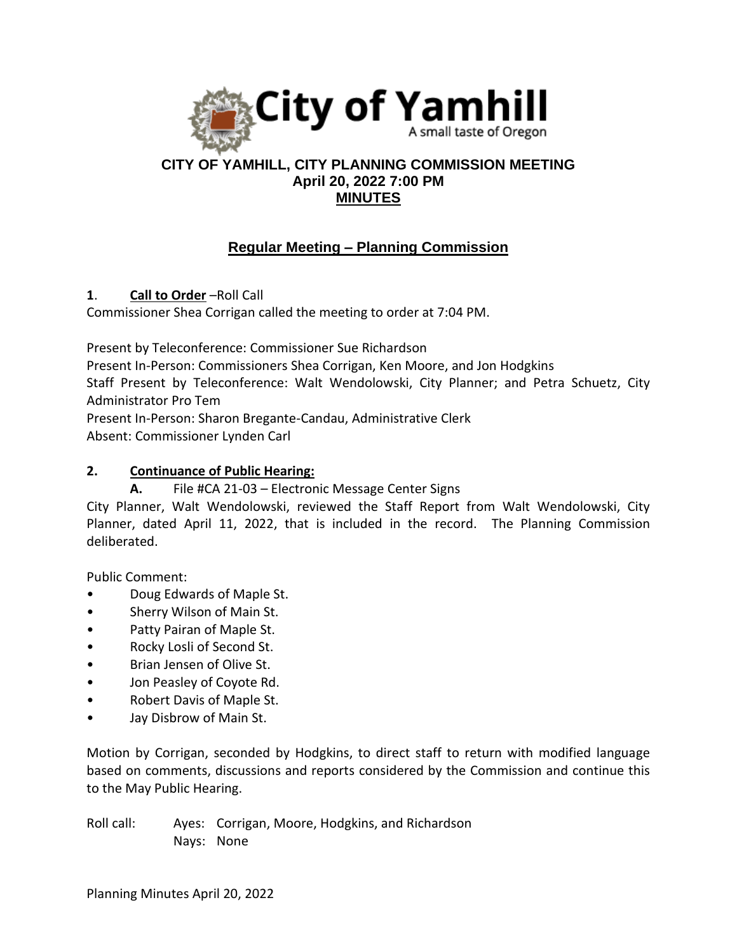

## **CITY OF YAMHILL, CITY PLANNING COMMISSION MEETING April 20, 2022 7:00 PM MINUTES**

# **Regular Meeting – Planning Commission**

**1**. **Call to Order** –Roll Call

Commissioner Shea Corrigan called the meeting to order at 7:04 PM.

Present by Teleconference: Commissioner Sue Richardson

Present In-Person: Commissioners Shea Corrigan, Ken Moore, and Jon Hodgkins

Staff Present by Teleconference: Walt Wendolowski, City Planner; and Petra Schuetz, City Administrator Pro Tem

Present In-Person: Sharon Bregante-Candau, Administrative Clerk

Absent: Commissioner Lynden Carl

## **2. Continuance of Public Hearing:**

**A.** File #CA 21-03 – Electronic Message Center Signs

City Planner, Walt Wendolowski, reviewed the Staff Report from Walt Wendolowski, City Planner, dated April 11, 2022, that is included in the record. The Planning Commission deliberated.

Public Comment:

- Doug Edwards of Maple St.
- Sherry Wilson of Main St.
- Patty Pairan of Maple St.
- Rocky Losli of Second St.
- Brian Jensen of Olive St.
- Jon Peasley of Coyote Rd.
- Robert Davis of Maple St.
- Jay Disbrow of Main St.

Motion by Corrigan, seconded by Hodgkins, to direct staff to return with modified language based on comments, discussions and reports considered by the Commission and continue this to the May Public Hearing.

Roll call: Ayes: Corrigan, Moore, Hodgkins, and Richardson Nays: None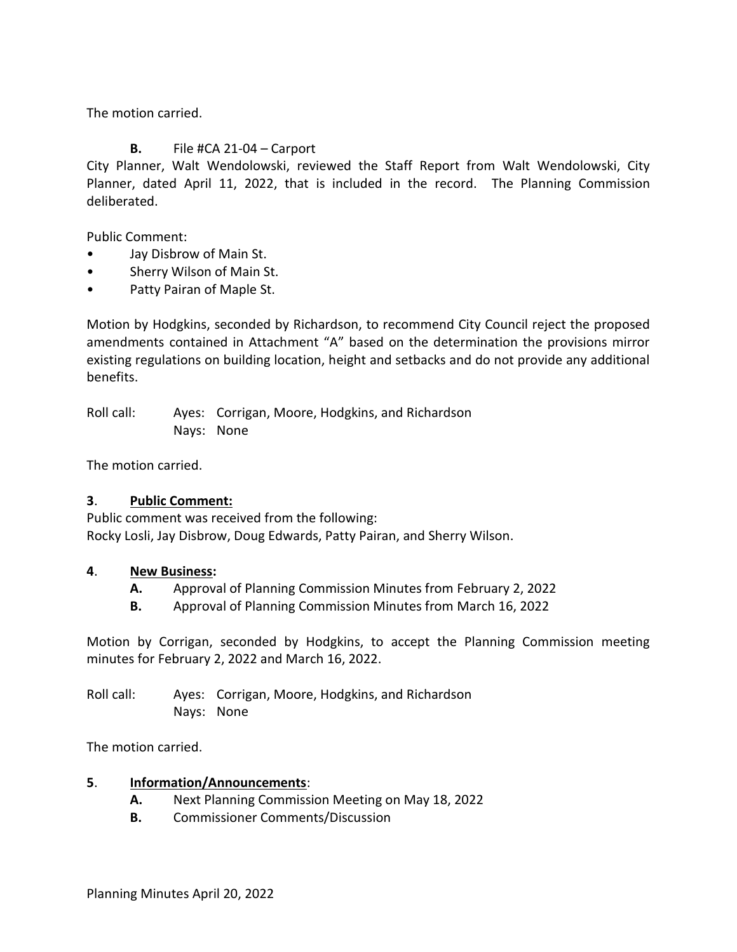The motion carried.

## **B.** File #CA 21-04 – Carport

City Planner, Walt Wendolowski, reviewed the Staff Report from Walt Wendolowski, City Planner, dated April 11, 2022, that is included in the record. The Planning Commission deliberated.

Public Comment:

- Jay Disbrow of Main St.
- Sherry Wilson of Main St.
- Patty Pairan of Maple St.

Motion by Hodgkins, seconded by Richardson, to recommend City Council reject the proposed amendments contained in Attachment "A" based on the determination the provisions mirror existing regulations on building location, height and setbacks and do not provide any additional benefits.

Roll call: Ayes: Corrigan, Moore, Hodgkins, and Richardson Nays: None

The motion carried.

#### **3**. **Public Comment:**

Public comment was received from the following: Rocky Losli, Jay Disbrow, Doug Edwards, Patty Pairan, and Sherry Wilson.

#### **4**. **New Business:**

- **A.** Approval of Planning Commission Minutes from February 2, 2022
- **B.** Approval of Planning Commission Minutes from March 16, 2022

Motion by Corrigan, seconded by Hodgkins, to accept the Planning Commission meeting minutes for February 2, 2022 and March 16, 2022.

Roll call: Ayes: Corrigan, Moore, Hodgkins, and Richardson Nays: None

The motion carried.

#### **5**. **Information/Announcements**:

- **A.** Next Planning Commission Meeting on May 18, 2022
- **B.** Commissioner Comments/Discussion